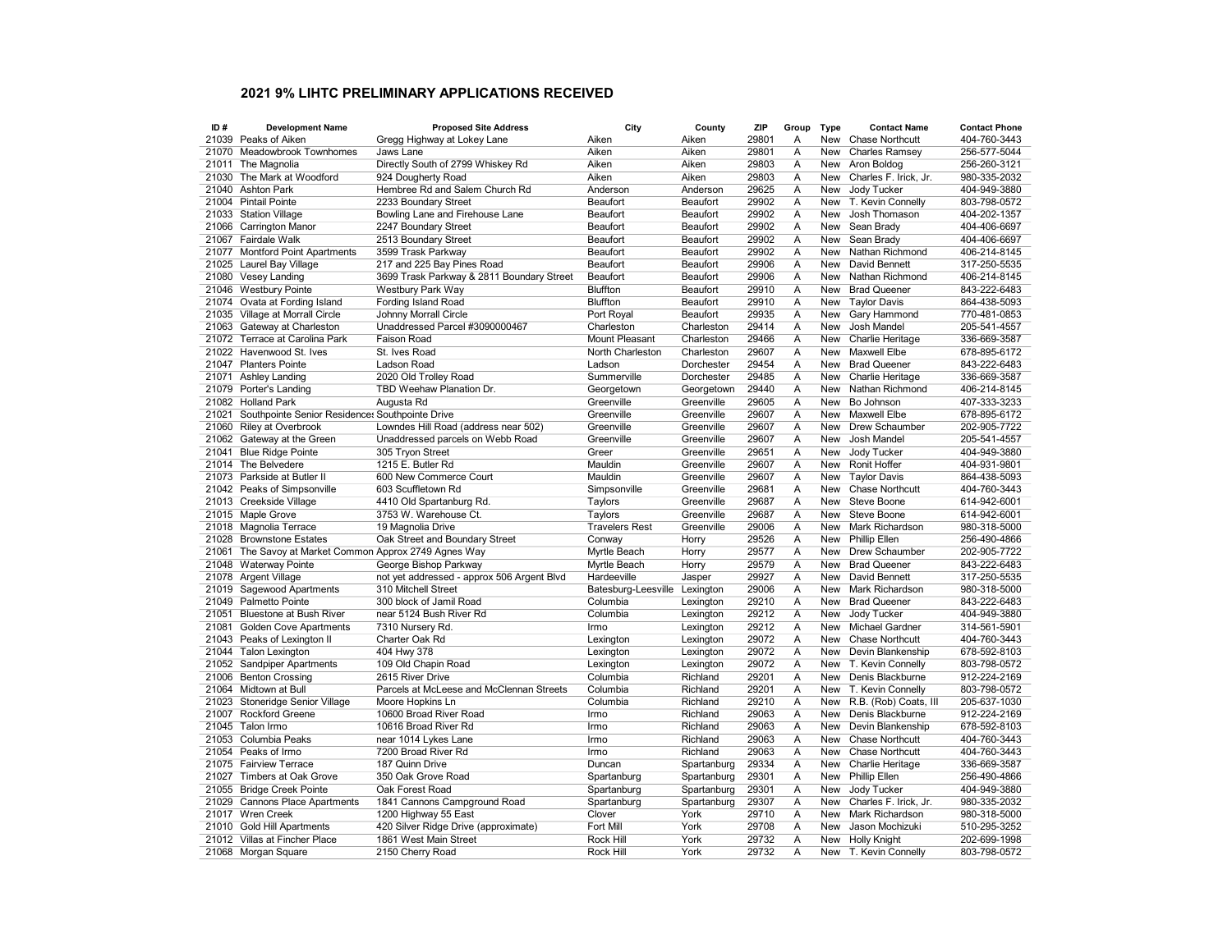## 2021 9% LIHTC PRELIMINARY APPLICATIONS RECEIVED

| ID#   | <b>Development Name</b>                                | <b>Proposed Site Address</b>               | City                          | County      | ZIP   | Group                   | <b>Type</b> | <b>Contact Name</b>    | <b>Contact Phone</b> |
|-------|--------------------------------------------------------|--------------------------------------------|-------------------------------|-------------|-------|-------------------------|-------------|------------------------|----------------------|
|       | 21039 Peaks of Aiken                                   | Gregg Highway at Lokey Lane                | Aiken                         | Aiken       | 29801 | A                       | New         | <b>Chase Northcutt</b> | 404-760-3443         |
| 21070 | <b>Meadowbrook Townhomes</b>                           | Jaws Lane                                  | Aiken                         | Aiken       | 29801 | Α                       | New         | <b>Charles Ramsey</b>  | 256-577-5044         |
| 21011 | The Magnolia                                           | Directly South of 2799 Whiskey Rd          | Aiken                         | Aiken       | 29803 | Α                       | New         | Aron Boldog            | 256-260-3121         |
| 21030 | The Mark at Woodford                                   | 924 Dougherty Road                         | Aiken                         | Aiken       | 29803 | Α                       | <b>New</b>  | Charles F. Irick, Jr.  | 980-335-2032         |
| 21040 | <b>Ashton Park</b>                                     | Hembree Rd and Salem Church Rd             | Anderson                      | Anderson    | 29625 | Α                       | New         | Jody Tucker            | 404-949-3880         |
|       | 21004 Pintail Pointe                                   | 2233 Boundary Street                       | Beaufort                      | Beaufort    | 29902 | A                       | New         | T. Kevin Connelly      | 803-798-0572         |
|       | 21033 Station Village                                  | Bowling Lane and Firehouse Lane            | Beaufort                      | Beaufort    | 29902 | Α                       | New         | Josh Thomason          | 404-202-1357         |
|       | 21066 Carrington Manor                                 | 2247 Boundary Street                       | Beaufort                      | Beaufort    | 29902 | A                       | <b>New</b>  | Sean Brady             | 404-406-6697         |
| 21067 | Fairdale Walk                                          | 2513 Boundary Street                       | Beaufort                      | Beaufort    | 29902 | A                       | <b>New</b>  | Sean Brady             | 404-406-6697         |
|       | 21077 Montford Point Apartments                        | 3599 Trask Parkway                         | Beaufort                      | Beaufort    | 29902 | $\overline{A}$          | New         | Nathan Richmond        | 406-214-8145         |
|       | 21025 Laurel Bay Village                               | 217 and 225 Bay Pines Road                 | Beaufort                      | Beaufort    | 29906 | A                       | New         | David Bennett          | 317-250-5535         |
|       | 21080 Vesey Landing                                    | 3699 Trask Parkway & 2811 Boundary Street  | Beaufort                      | Beaufort    | 29906 | Α                       | New         | Nathan Richmond        | 406-214-8145         |
|       | 21046 Westbury Pointe                                  | Westbury Park Way                          | <b>Bluffton</b>               | Beaufort    | 29910 | Α                       | <b>New</b>  | <b>Brad Queener</b>    | 843-222-6483         |
|       | 21074 Ovata at Fording Island                          | Fording Island Road                        | Bluffton                      | Beaufort    | 29910 | Α                       | New         | <b>Taylor Davis</b>    | 864-438-5093         |
|       | 21035 Village at Morrall Circle                        | Johnny Morrall Circle                      | Port Royal                    | Beaufort    | 29935 | A                       | New         | Gary Hammond           | 770-481-0853         |
|       | 21063 Gateway at Charleston                            | Unaddressed Parcel #3090000467             | Charleston                    | Charleston  | 29414 | Α                       | New         | Josh Mandel            | 205-541-4557         |
|       | 21072 Terrace at Carolina Park                         | Faison Road                                | Mount Pleasant                | Charleston  | 29466 | Α                       | New         | Charlie Heritage       | 336-669-3587         |
|       | 21022 Havenwood St. Ives                               | St. Ives Road                              | North Charleston              | Charleston  | 29607 | Α                       | New         | <b>Maxwell Elbe</b>    | 678-895-6172         |
|       | 21047 Planters Pointe                                  | Ladson Road                                | Ladson                        | Dorchester  | 29454 | Α                       | New         | <b>Brad Queener</b>    | 843-222-6483         |
| 21071 | Ashley Landing                                         | 2020 Old Trolley Road                      | Summerville                   | Dorchester  | 29485 | A                       | New         | Charlie Heritage       | 336-669-3587         |
|       | 21079 Porter's Landing                                 | TBD Weehaw Planation Dr.                   | Georgetown                    | Georgetown  | 29440 | A                       | New         | Nathan Richmond        | 406-214-8145         |
|       | 21082 Holland Park                                     | Augusta Rd                                 | Greenville                    | Greenville  | 29605 | A                       | New         | Bo Johnson             | 407-333-3233         |
| 21021 | Southpointe Senior Residences Southpointe Drive        |                                            | Greenville                    | Greenville  | 29607 | A                       | <b>New</b>  | <b>Maxwell Elbe</b>    | 678-895-6172         |
| 21060 | <b>Riley at Overbrook</b>                              | Lowndes Hill Road (address near 502)       | Greenville                    | Greenville  | 29607 | Α                       | New         | Drew Schaumber         | 202-905-7722         |
|       | 21062 Gateway at the Green                             | Unaddressed parcels on Webb Road           | Greenville                    | Greenville  | 29607 | Α                       | New         | Josh Mandel            | 205-541-4557         |
| 21041 | <b>Blue Ridge Pointe</b>                               | 305 Tryon Street                           | Greer                         | Greenville  | 29651 | Α                       | New         | Jody Tucker            | 404-949-3880         |
|       | 21014 The Belvedere                                    | 1215 E. Butler Rd                          | Mauldin                       | Greenville  | 29607 | A                       | <b>New</b>  | Ronit Hoffer           | 404-931-9801         |
|       | 21073 Parkside at Butler II                            | 600 New Commerce Court                     | Mauldin                       | Greenville  | 29607 | $\overline{A}$          |             |                        |                      |
|       |                                                        |                                            |                               |             |       |                         | New         | <b>Taylor Davis</b>    | 864-438-5093         |
|       | 21042 Peaks of Simpsonville                            | 603 Scuffletown Rd                         | Simpsonville                  | Greenville  | 29681 | A                       | <b>New</b>  | <b>Chase Northcutt</b> | 404-760-3443         |
|       | 21013 Creekside Village                                | 4410 Old Spartanburg Rd.                   | Taylors                       | Greenville  | 29687 | Α                       | <b>New</b>  | <b>Steve Boone</b>     | 614-942-6001         |
|       | 21015 Maple Grove                                      | 3753 W. Warehouse Ct.                      | Taylors                       | Greenville  | 29687 | Α                       | <b>New</b>  | Steve Boone            | 614-942-6001         |
|       | 21018 Magnolia Terrace                                 | 19 Magnolia Drive                          | <b>Travelers Rest</b>         | Greenville  | 29006 | Α                       | New         | Mark Richardson        | 980-318-5000         |
|       | 21028 Brownstone Estates                               | Oak Street and Boundary Street             | Conway                        | Horry       | 29526 | Α                       | New         | Phillip Ellen          | 256-490-4866         |
|       | 21061 The Savoy at Market Common Approx 2749 Agnes Way |                                            | Myrtle Beach                  | Horry       | 29577 | Α                       | <b>New</b>  | Drew Schaumber         | 202-905-7722         |
|       | 21048 Waterway Pointe                                  | George Bishop Parkway                      | Myrtle Beach                  | Horry       | 29579 | Α                       | <b>New</b>  | <b>Brad Queener</b>    | 843-222-6483         |
|       | 21078 Argent Village                                   | not yet addressed - approx 506 Argent Blvd | Hardeeville                   | Jasper      | 29927 | A                       | New         | David Bennett          | 317-250-5535         |
|       | 21019 Sagewood Apartments                              | 310 Mitchell Street                        | Batesburg-Leesville Lexington |             | 29006 | $\overline{\mathsf{A}}$ | New         | Mark Richardson        | 980-318-5000         |
| 21049 | Palmetto Pointe                                        | 300 block of Jamil Road                    | Columbia                      | Lexington   | 29210 | Α                       | <b>New</b>  | <b>Brad Queener</b>    | 843-222-6483         |
| 21051 | <b>Bluestone at Bush River</b>                         | near 5124 Bush River Rd                    | Columbia                      | Lexington   | 29212 | A                       | New         | Jody Tucker            | 404-949-3880         |
| 21081 | <b>Golden Cove Apartments</b>                          | 7310 Nurserv Rd.                           | Irmo                          | Lexington   | 29212 | A                       | New         | <b>Michael Gardner</b> | 314-561-5901         |
| 21043 | Peaks of Lexington II                                  | Charter Oak Rd                             | Lexington                     | Lexington   | 29072 | A                       | New         | <b>Chase Northcutt</b> | 404-760-3443         |
|       | 21044 Talon Lexington                                  | 404 Hwy 378                                | Lexington                     | Lexington   | 29072 | Α                       | New         | Devin Blankenship      | 678-592-8103         |
|       | 21052 Sandpiper Apartments                             | 109 Old Chapin Road                        | Lexington                     | Lexington   | 29072 | Α                       | <b>New</b>  | T. Kevin Connelly      | 803-798-0572         |
|       | 21006 Benton Crossing                                  | 2615 River Drive                           | Columbia                      | Richland    | 29201 | Α                       | <b>New</b>  | Denis Blackburne       | 912-224-2169         |
|       | 21064 Midtown at Bull                                  | Parcels at McLeese and McClennan Streets   | Columbia                      | Richland    | 29201 | A                       | New         | T. Kevin Connelly      | 803-798-0572         |
| 21023 | Stoneridge Senior Village                              | Moore Hopkins Ln                           | Columbia                      | Richland    | 29210 | A                       | <b>New</b>  | R.B. (Rob) Coats, III  | 205-637-1030         |
|       | 21007 Rockford Greene                                  | 10600 Broad River Road                     | Irmo                          | Richland    | 29063 | Α                       | <b>New</b>  | Denis Blackburne       | 912-224-2169         |
|       | 21045 Talon Irmo                                       | 10616 Broad River Rd                       | Irmo                          | Richland    | 29063 | Α                       | New         | Devin Blankenship      | 678-592-8103         |
|       | 21053 Columbia Peaks                                   | near 1014 Lykes Lane                       | Irmo                          | Richland    | 29063 | A                       | New         | <b>Chase Northcutt</b> | 404-760-3443         |
|       | 21054 Peaks of Irmo                                    | 7200 Broad River Rd                        | Irmo                          | Richland    | 29063 | A                       | New         | <b>Chase Northcutt</b> | 404-760-3443         |
|       | 21075 Fairview Terrace                                 | 187 Quinn Drive                            | Duncan                        | Spartanburg | 29334 | $\overline{A}$          | New         | Charlie Heritage       | 336-669-3587         |
|       | 21027 Timbers at Oak Grove                             | 350 Oak Grove Road                         | Spartanburg                   | Spartanburg | 29301 | A                       | <b>New</b>  | Phillip Ellen          | 256-490-4866         |
| 21055 | <b>Bridge Creek Pointe</b>                             | Oak Forest Road                            | Spartanburg                   | Spartanburg | 29301 | Α                       | New         | Jody Tucker            | 404-949-3880         |
| 21029 | <b>Cannons Place Apartments</b>                        | 1841 Cannons Campground Road               | Spartanburg                   | Spartanburg | 29307 | Α                       | New         | Charles F. Irick, Jr.  | 980-335-2032         |
|       | 21017 Wren Creek                                       | 1200 Highway 55 East                       | Clover                        | York        | 29710 | Α                       | New         | Mark Richardson        | 980-318-5000         |
|       |                                                        |                                            | Fort Mill                     | York        | 29708 | A                       | <b>New</b>  | Jason Mochizuki        | 510-295-3252         |
|       | 21010 Gold Hill Apartments                             | 420 Silver Ridge Drive (approximate)       |                               |             | 29732 |                         |             |                        |                      |
|       | 21012 Villas at Fincher Place                          | 1861 West Main Street                      | <b>Rock Hill</b>              | York        |       | A                       | <b>New</b>  | <b>Holly Knight</b>    | 202-699-1998         |
|       | 21068 Morgan Square                                    | 2150 Cherry Road                           | <b>Rock Hill</b>              | York        | 29732 | A                       |             | New T. Kevin Connelly  | 803-798-0572         |